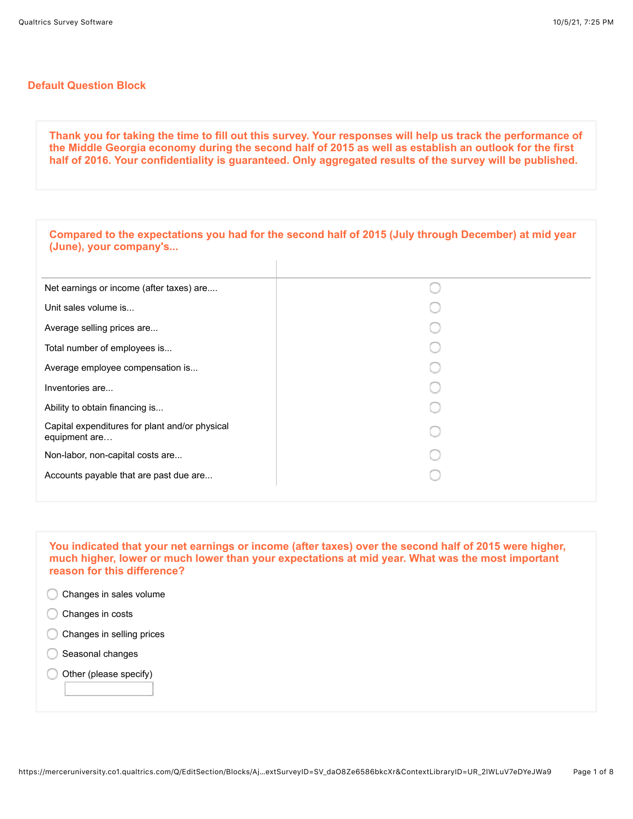## **Default Question Block**

**Thank you for taking the time to fill out this survey. Your responses will help us track the performance of the Middle Georgia economy during the second half of 2015 as well as establish an outlook for the first half of 2016. Your confidentiality is guaranteed. Only aggregated results of the survey will be published.**

**You indicated that your net earnings or income (after taxes) over the second half of 2015 were higher, much higher, lower or much lower than your expectations at mid year. What was the most important reason for this difference?** 

- C Changes in sales volume Changes in costs
- C Changes in selling prices
- Seasonal changes
- Other (please specify)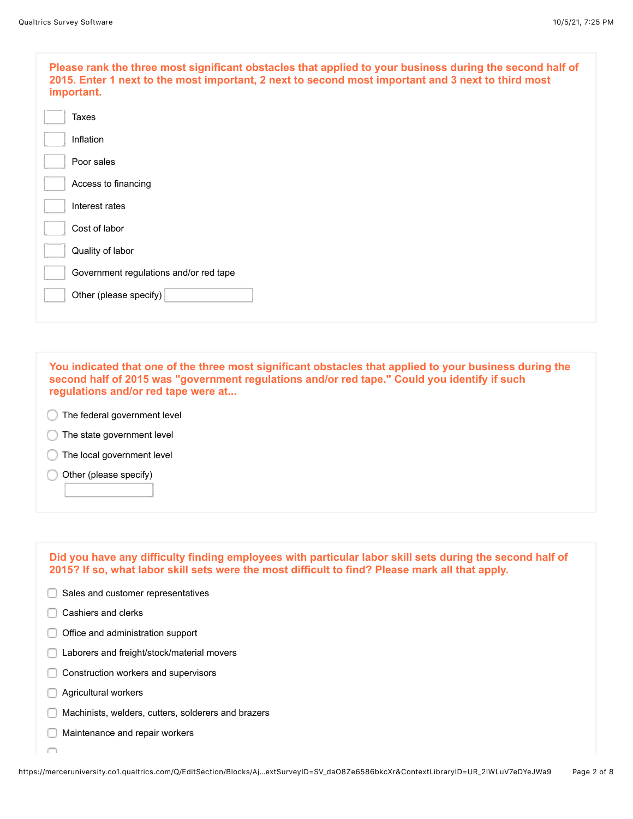| Please rank the three most significant obstacles that applied to your business during the second half of<br>2015. Enter 1 next to the most important, 2 next to second most important and 3 next to third most<br>important. |
|------------------------------------------------------------------------------------------------------------------------------------------------------------------------------------------------------------------------------|
| Taxes                                                                                                                                                                                                                        |
| Inflation                                                                                                                                                                                                                    |
| Poor sales                                                                                                                                                                                                                   |
| Access to financing                                                                                                                                                                                                          |
| Interest rates                                                                                                                                                                                                               |
| Cost of labor                                                                                                                                                                                                                |
| Quality of labor                                                                                                                                                                                                             |
| Government regulations and/or red tape                                                                                                                                                                                       |
| Other (please specify)                                                                                                                                                                                                       |
|                                                                                                                                                                                                                              |

**You indicated that one of the three most significant obstacles that applied to your business during the second half of 2015 was "government regulations and/or red tape." Could you identify if such regulations and/or red tape were at...**

- The federal government level
- **The state government level**
- The local government level
- Other (please specify) ∩

| Did you have any difficulty finding employees with particular labor skill sets during the second half of<br>2015? If so, what labor skill sets were the most difficult to find? Please mark all that apply. |
|-------------------------------------------------------------------------------------------------------------------------------------------------------------------------------------------------------------|
| Sales and customer representatives                                                                                                                                                                          |
| Cashiers and clerks                                                                                                                                                                                         |
| Office and administration support                                                                                                                                                                           |
| Laborers and freight/stock/material movers                                                                                                                                                                  |
| Construction workers and supervisors                                                                                                                                                                        |
| Agricultural workers                                                                                                                                                                                        |
| Machinists, welders, cutters, solderers and brazers                                                                                                                                                         |
| Maintenance and repair workers                                                                                                                                                                              |
|                                                                                                                                                                                                             |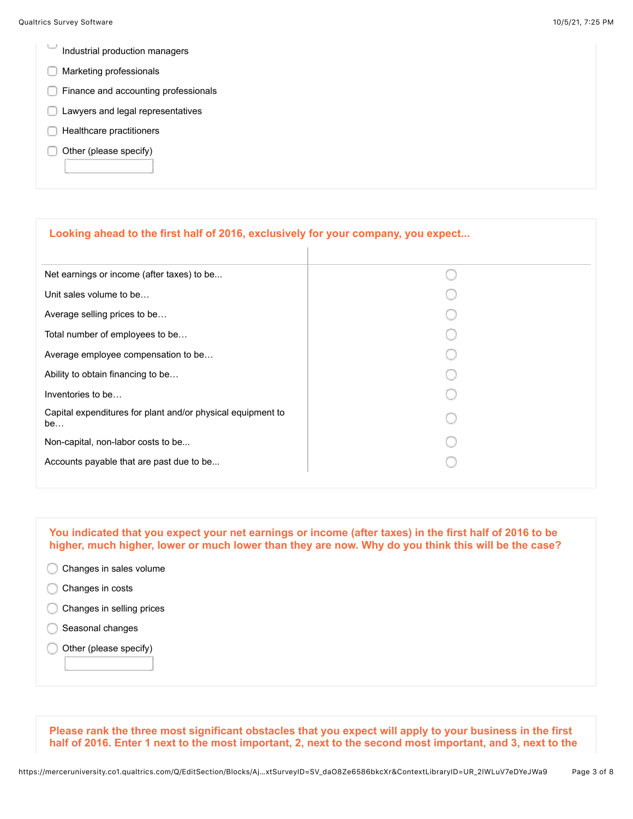- $\overline{\phantom{a}}$ Industrial production managers
- **Marketing professionals**
- Finance and accounting professionals
- **Lawyers and legal representatives**
- $\Box$  Healthcare practitioners
- $\Box$  Other (please specify)

| Looking ahead to the first half of 2016, exclusively for your company, you expect |  |
|-----------------------------------------------------------------------------------|--|
| Net earnings or income (after taxes) to be                                        |  |
| Unit sales volume to be                                                           |  |
| Average selling prices to be                                                      |  |
| Total number of employees to be                                                   |  |
| Average employee compensation to be                                               |  |
| Ability to obtain financing to be                                                 |  |
| Inventories to be                                                                 |  |
| Capital expenditures for plant and/or physical equipment to<br>be                 |  |
| Non-capital, non-labor costs to be                                                |  |
| Accounts payable that are past due to be                                          |  |
|                                                                                   |  |

**You indicated that you expect your net earnings or income (after taxes) in the first half of 2016 to be higher, much higher, lower or much lower than they are now. Why do you think this will be the case?** 

- C Changes in sales volume
- Changes in costs
- Changes in selling prices
- Seasonal changes
- Other (please specify) C

**Please rank the three most significant obstacles that you expect will apply to your business in the first half of 2016. Enter 1 next to the most important, 2, next to the second most important, and 3, next to the**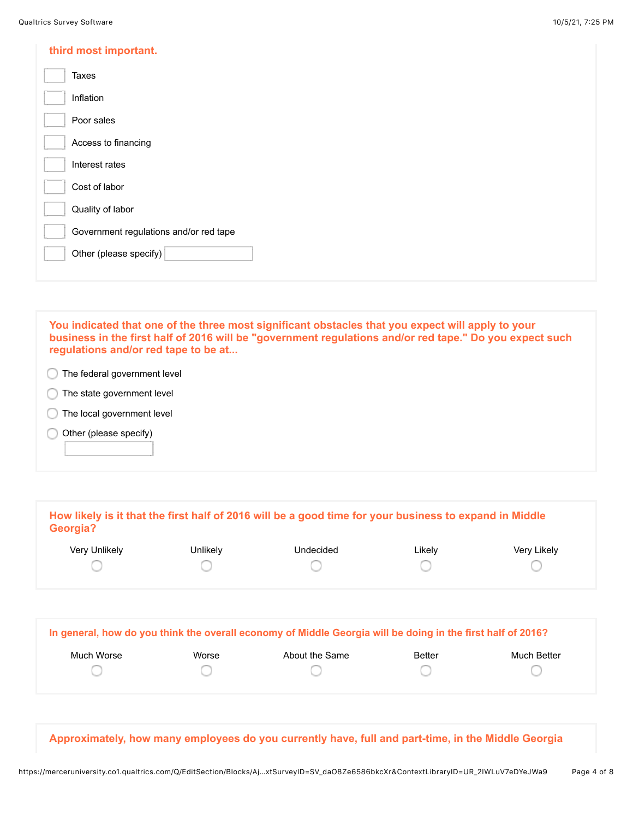| third most important.                  |
|----------------------------------------|
| Taxes                                  |
| Inflation                              |
| Poor sales                             |
| Access to financing                    |
| Interest rates                         |
| Cost of labor                          |
| Quality of labor                       |
| Government regulations and/or red tape |
| Other (please specify)                 |
|                                        |

| You indicated that one of the three most significant obstacles that you expect will apply to your       |
|---------------------------------------------------------------------------------------------------------|
| business in the first half of 2016 will be "government regulations and/or red tape." Do you expect such |
| regulations and/or red tape to be at                                                                    |
|                                                                                                         |

The federal government level C

The state government level C

The local government level C

Other (please specify) C

| Very Unlikely | Unlikely | Undecided                                                                                                   | Likely | Very Likely |
|---------------|----------|-------------------------------------------------------------------------------------------------------------|--------|-------------|
|               |          |                                                                                                             |        |             |
|               |          |                                                                                                             |        |             |
|               |          | In general, how do you think the overall economy of Middle Georgia will be doing in the first half of 2016? |        |             |

**Approximately, how many employees do you currently have, full and part-time, in the Middle Georgia**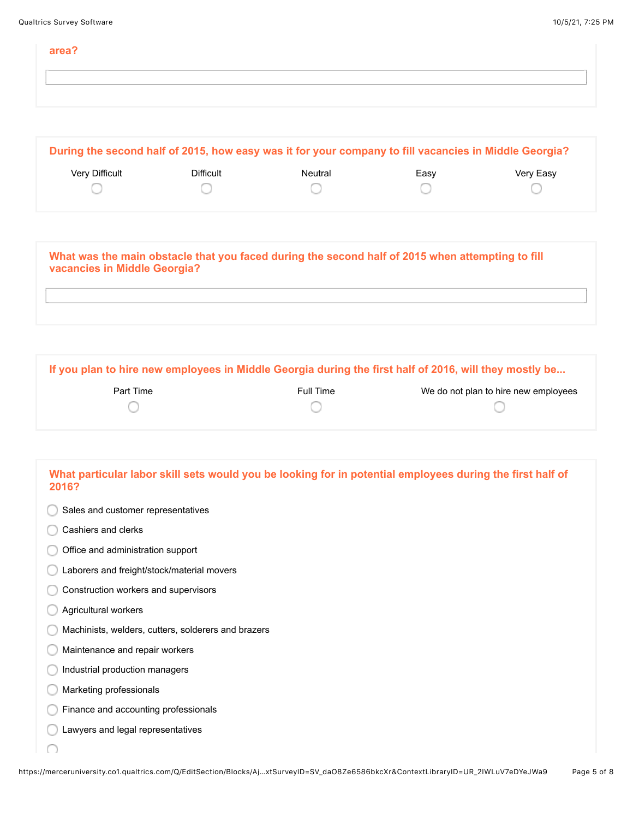| area? |  |
|-------|--|
|       |  |
|       |  |

| During the second half of 2015, how easy was it for your company to fill vacancies in Middle Georgia? |           |         |      |           |
|-------------------------------------------------------------------------------------------------------|-----------|---------|------|-----------|
| <b>Very Difficult</b>                                                                                 | Difficult | Neutral | Easv | Very Easy |
|                                                                                                       |           |         |      |           |
|                                                                                                       |           |         |      |           |

**What was the main obstacle that you faced during the second half of 2015 when attempting to fill vacancies in Middle Georgia?**

**If you plan to hire new employees in Middle Georgia during the first half of 2016, will they mostly be...**

| Part Time | Full Time | We do not plan to hire new employees |
|-----------|-----------|--------------------------------------|
|           |           |                                      |

| What particular labor skill sets would you be looking for in potential employees during the first half of<br>2016? |
|--------------------------------------------------------------------------------------------------------------------|
| Sales and customer representatives                                                                                 |
| Cashiers and clerks                                                                                                |
| Office and administration support                                                                                  |
| Laborers and freight/stock/material movers                                                                         |
| Construction workers and supervisors                                                                               |
| Agricultural workers                                                                                               |
| Machinists, welders, cutters, solderers and brazers                                                                |
| Maintenance and repair workers                                                                                     |
| Industrial production managers                                                                                     |
| Marketing professionals                                                                                            |
| Finance and accounting professionals                                                                               |
| Lawyers and legal representatives                                                                                  |
|                                                                                                                    |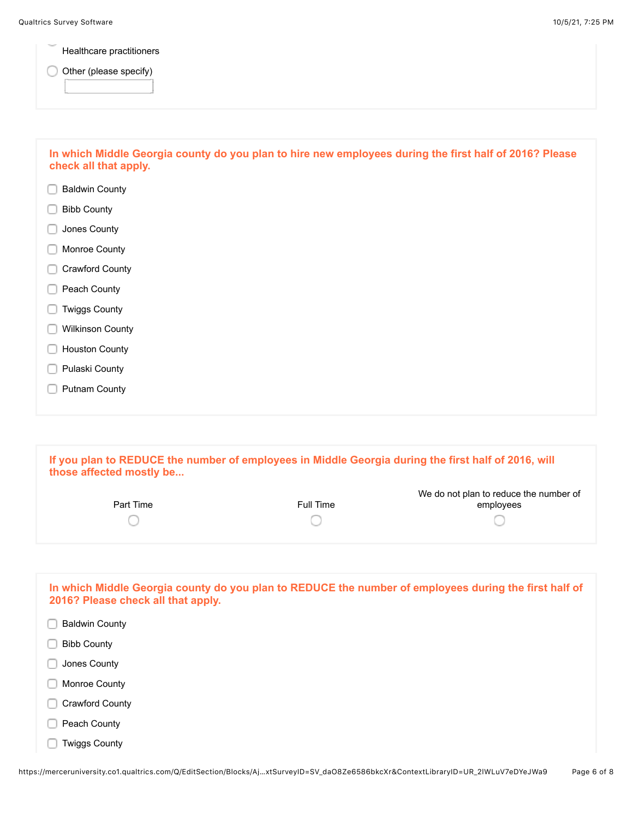Healthcare practitioners

Other (please specify)

| In which Middle Georgia county do you plan to hire new employees during the first half of 2016? Please<br>check all that apply. |
|---------------------------------------------------------------------------------------------------------------------------------|
| <b>Baldwin County</b>                                                                                                           |
| <b>Bibb County</b>                                                                                                              |
| Jones County                                                                                                                    |
| Monroe County                                                                                                                   |
| <b>Crawford County</b>                                                                                                          |
| Peach County                                                                                                                    |
| <b>Twiggs County</b>                                                                                                            |
| <b>Wilkinson County</b>                                                                                                         |
| <b>Houston County</b>                                                                                                           |
| Pulaski County                                                                                                                  |
| <b>Putnam County</b>                                                                                                            |
|                                                                                                                                 |
|                                                                                                                                 |

| If you plan to REDUCE the number of employees in Middle Georgia during the first half of 2016, will |  |
|-----------------------------------------------------------------------------------------------------|--|
| those affected mostly be                                                                            |  |

| Part Time | Full Time | We do not plan to reduce the number of<br>employees |
|-----------|-----------|-----------------------------------------------------|
|           |           |                                                     |

| In which Middle Georgia county do you plan to REDUCE the number of employees during the first half of<br>2016? Please check all that apply. |
|---------------------------------------------------------------------------------------------------------------------------------------------|
| <b>Baldwin County</b>                                                                                                                       |
| <b>Bibb County</b>                                                                                                                          |
| Jones County                                                                                                                                |
| Monroe County                                                                                                                               |
| Crawford County                                                                                                                             |
| Peach County                                                                                                                                |
| <b>Twiggs County</b>                                                                                                                        |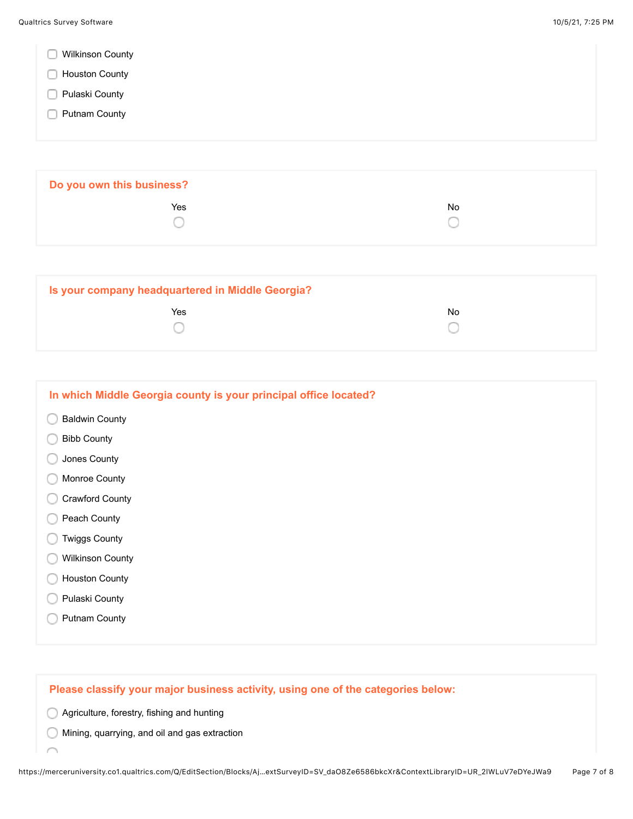|  |  | <b>Wilkinson County</b> |  |
|--|--|-------------------------|--|
|--|--|-------------------------|--|

- **Houston County**
- **Pulaski County**
- **Putnam County**

| Do you own this business? |     |  |
|---------------------------|-----|--|
| Yes                       | No. |  |
|                           |     |  |

| Is your company headquartered in Middle Georgia? |    |  |
|--------------------------------------------------|----|--|
| Yes                                              | No |  |

| In which Middle Georgia county is your principal office located? |
|------------------------------------------------------------------|
| <b>Baldwin County</b>                                            |
| <b>Bibb County</b>                                               |
| Jones County                                                     |
| Monroe County                                                    |
| <b>Crawford County</b>                                           |
| Peach County                                                     |
| <b>Twiggs County</b>                                             |
| <b>Wilkinson County</b>                                          |
| <b>Houston County</b>                                            |
| Pulaski County                                                   |
| <b>Putnam County</b>                                             |
|                                                                  |

## **Please classify your major business activity, using one of the categories below:**

Agriculture, forestry, fishing and hunting

Í

Mining, quarrying, and oil and gas extraction